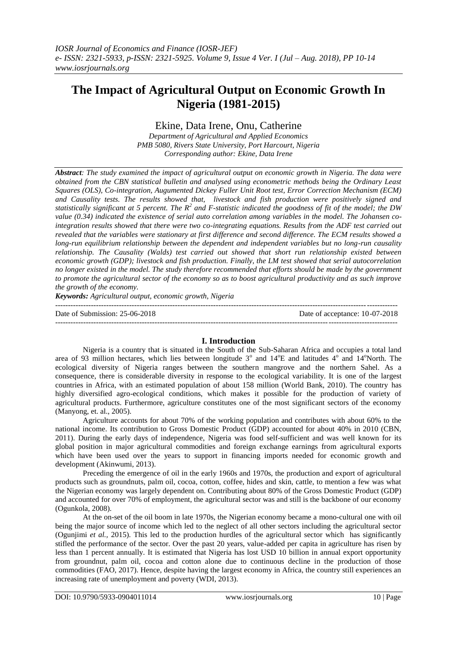# **The Impact of Agricultural Output on Economic Growth In Nigeria (1981-2015)**

# Ekine, Data Irene, Onu, Catherine

*Department of Agricultural and Applied Economics PMB 5080, Rivers State University, Port Harcourt, Nigeria Corresponding author: Ekine, Data Irene*

*Abstract: The study examined the impact of agricultural output on economic growth in Nigeria. The data were obtained from the CBN statistical bulletin and analysed using econometric methods being the Ordinary Least Squares (OLS), Co-integration, Augumented Dickey Fuller Unit Root test, Error Correction Mechanism (ECM) and Causality tests. The results showed that, livestock and fish production were positively signed and statistically significant at 5 percent. The R<sup>2</sup> and F-statistic indicated the goodness of fit of the model; the DW value (0.34) indicated the existence of serial auto correlation among variables in the model. The Johansen cointegration results showed that there were two co-integrating equations. Results from the ADF test carried out revealed that the variables were stationary at first difference and second difference. The ECM results showed a long-run equilibrium relationship between the dependent and independent variables but no long-run causality relationship. The Causality (Walds) test carried out showed that short run relationship existed between economic growth (GDP); livestock and fish production. Finally, the LM test showed that serial autocorrelation no longer existed in the model. The study therefore recommended that efforts should be made by the government to promote the agricultural sector of the economy so as to boost agricultural productivity and as such improve the growth of the economy.*

*Keywords: Agricultural output, economic growth, Nigeria* --------------------------------------------------------------------------------------------------------------------------------------

Date of Submission: 25-06-2018 Date of acceptance: 10-07-2018

--------------------------------------------------------------------------------------------------------------------------------------

# **I. Introduction**

Nigeria is a country that is situated in the South of the Sub-Saharan Africa and occupies a total land area of 93 million hectares, which lies between longitude  $3^\circ$  and  $14^\circ$ E and latitudes  $4^\circ$  and  $14^\circ$ North. The ecological diversity of Nigeria ranges between the southern mangrove and the northern Sahel. As a consequence, there is considerable diversity in response to the ecological variability. It is one of the largest countries in Africa, with an estimated population of about 158 million (World Bank, 2010). The country has highly diversified agro-ecological conditions, which makes it possible for the production of variety of agricultural products. Furthermore, agriculture constitutes one of the most significant sectors of the economy (Manyong, et. al., 2005).

Agriculture accounts for about 70% of the working population and contributes with about 60% to the national income. Its contribution to Gross Domestic Product (GDP) accounted for about 40% in 2010 (CBN, 2011). During the early days of independence, Nigeria was food self-sufficient and was well known for its global position in major agricultural commodities and foreign exchange earnings from agricultural exports which have been used over the years to support in financing imports needed for economic growth and development (Akinwumi, 2013).

Preceding the emergence of oil in the early 1960s and 1970s, the production and export of agricultural products such as groundnuts, palm oil, cocoa, cotton, coffee, hides and skin, cattle, to mention a few was what the Nigerian economy was largely dependent on. Contributing about 80% of the Gross Domestic Product (GDP) and accounted for over 70% of employment, the agricultural sector was and still is the backbone of our economy (Ogunkola, 2008).

At the on-set of the oil boom in late 1970s, the Nigerian economy became a mono-cultural one with oil being the major source of income which led to the neglect of all other sectors including the agricultural sector (Ogunjimi *et al.,* 2015). This led to the production hurdles of the agricultural sector which has significantly stifled the performance of the sector. Over the past 20 years, value-added per capita in agriculture has risen by less than 1 percent annually. It is estimated that Nigeria has lost USD 10 billion in annual export opportunity from groundnut, palm oil, cocoa and cotton alone due to continuous decline in the production of those commodities (FAO, 2017). Hence, despite having the largest economy in Africa, the country still experiences an increasing rate of unemployment and poverty (WDI, 2013).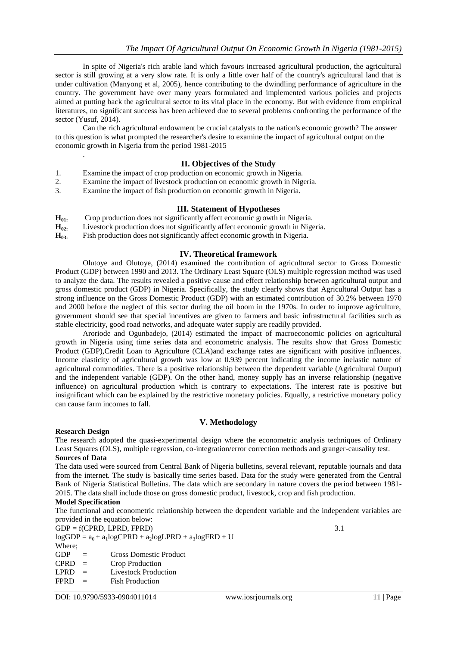In spite of Nigeria's rich arable land which favours increased agricultural production, the agricultural sector is still growing at a very slow rate. It is only a little over half of the country's agricultural land that is under cultivation (Manyong et al, 2005), hence contributing to the dwindling performance of agriculture in the country. The government have over many years formulated and implemented various policies and projects aimed at putting back the agricultural sector to its vital place in the economy. But with evidence from empirical literatures, no significant success has been achieved due to several problems confronting the performance of the sector (Yusuf, 2014).

Can the rich agricultural endowment be crucial catalysts to the nation's economic growth? The answer to this question is what prompted the researcher's desire to examine the impact of agricultural output on the economic growth in Nigeria from the period 1981-2015

# **II. Objectives of the Study**

- 1. Examine the impact of crop production on economic growth in Nigeria.
- 2. Examine the impact of livestock production on economic growth in Nigeria.
- 3. Examine the impact of fish production on economic growth in Nigeria.

## **III. Statement of Hypotheses**

- **H01:** Crop production does not significantly affect economic growth in Nigeria.
- **H02:** Livestock production does not significantly affect economic growth in Nigeria.
- **H03:** Fish production does not significantly affect economic growth in Nigeria.

## **IV. Theoretical framework**

Olutoye and Olutoye, (2014) examined the contribution of agricultural sector to Gross Domestic Product (GDP) between 1990 and 2013. The Ordinary Least Square (OLS) multiple regression method was used to analyze the data. The results revealed a positive cause and effect relationship between agricultural output and gross domestic product (GDP) in Nigeria. Specifically, the study clearly shows that Agricultural Output has a strong influence on the Gross Domestic Product (GDP) with an estimated contribution of 30.2% between 1970 and 2000 before the neglect of this sector during the oil boom in the 1970s. In order to improve agriculture, government should see that special incentives are given to farmers and basic infrastructural facilities such as stable electricity, good road networks, and adequate water supply are readily provided.

Aroriode and Ogunbadejo, (2014) estimated the impact of macroeconomic policies on agricultural growth in Nigeria using time series data and econometric analysis. The results show that Gross Domestic Product (GDP),Credit Loan to Agriculture (CLA)and exchange rates are significant with positive influences. Income elasticity of agricultural growth was low at 0.939 percent indicating the income inelastic nature of agricultural commodities. There is a positive relationship between the dependent variable (Agricultural Output) and the independent variable (GDP). On the other hand, money supply has an inverse relationship (negative influence) on agricultural production which is contrary to expectations. The interest rate is positive but insignificant which can be explained by the restrictive monetary policies. Equally, a restrictive monetary policy can cause farm incomes to fall.

# **V. Methodology**

#### **Research Design**

.

The research adopted the quasi-experimental design where the econometric analysis techniques of Ordinary Least Squares (OLS), multiple regression, co-integration/error correction methods and granger-causality test. **Sources of Data**

The data used were sourced from Central Bank of Nigeria bulletins, several relevant, reputable journals and data from the internet. The study is basically time series based. Data for the study were generated from the Central Bank of Nigeria Statistical Bulletins. The data which are secondary in nature covers the period between 1981- 2015. The data shall include those on gross domestic product, livestock, crop and fish production.

#### **Model Specification**

The functional and econometric relationship between the dependent variable and the independent variables are provided in the equation below:

 $GDP = f(CPRD, LPRD, FPRD)$  3.1

 $logGDP = a_0 + a_1 logCPRD + a_2 logLPRD + a_3 logFRD + U$ 

Where;

GDP = Gross Domestic Product

- $CPRD =$  Crop Production
- LPRD = Livestock Production
- $FPRD =$ Fish Production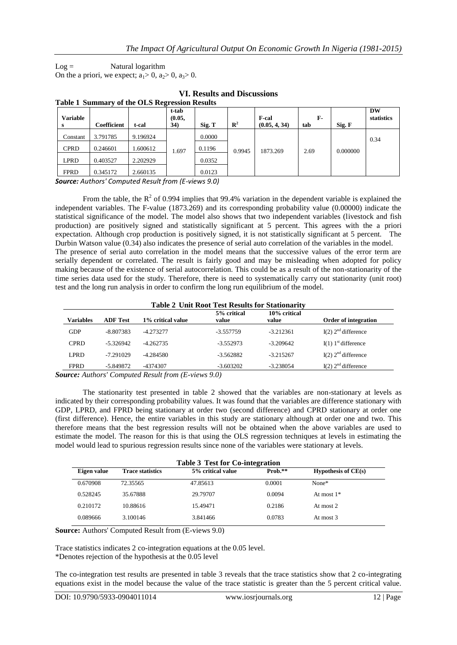$Log =$  Natural logarithm

On the a priori, we expect;  $a_1 > 0$ ,  $a_2 > 0$ ,  $a_3 > 0$ .

| Table T Builling v of the OLD Regiession Results |                    |          |                        |        |                |                               |           |          |                  |
|--------------------------------------------------|--------------------|----------|------------------------|--------|----------------|-------------------------------|-----------|----------|------------------|
| <b>Variable</b><br>s                             | <b>Coefficient</b> | t-cal    | t-tab<br>(0.05,<br>34) | Sig. T | $\mathbb{R}^2$ | <b>F-cal</b><br>(0.05, 4, 34) | F-<br>tab | Sig. F   | DW<br>statistics |
| Constant                                         | 3.791785           | 9.196924 |                        | 0.0000 |                |                               |           |          | 0.34             |
| <b>CPRD</b>                                      | 0.246601           | .600612  | 1.697                  | 0.1196 | 0.9945         | 1873.269                      | 2.69      | 0.000000 |                  |
| LPRD                                             | 0.403527           | 2.202929 |                        | 0.0352 |                |                               |           |          |                  |
| <b>FPRD</b>                                      | 0.345172           | 2.660135 |                        | 0.0123 |                |                               |           |          |                  |

#### **VI. Results and Discussions Table 1 Summary of the OLS Regression Results**

*Source: Authors' Computed Result from (E-views 9.0)*

From the table, the  $R^2$  of 0.994 implies that 99.4% variation in the dependent variable is explained the independent variables. The F-value (1873.269) and its corresponding probability value (0.00000) indicate the statistical significance of the model. The model also shows that two independent variables (livestock and fish production) are positively signed and statistically significant at 5 percent. This agrees with the a priori expectation. Although crop production is positively signed, it is not statistically significant at 5 percent. The Durbin Watson value (0.34) also indicates the presence of serial auto correlation of the variables in the model. The presence of serial auto correlation in the model means that the successive values of the error term are serially dependent or correlated. The result is fairly good and may be misleading when adopted for policy making because of the existence of serial autocorrelation. This could be as a result of the non-stationarity of the time series data used for the study. Therefore, there is need to systematically carry out stationarity (unit root) test and the long run analysis in order to confirm the long run equilibrium of the model.

#### **Table 2 Unit Root Test Results for Stationarity**

| Variables   | <b>ADF</b> Test | 1% critical value | 5% critical<br>value | 10% critical<br>value | Order of integration              |
|-------------|-----------------|-------------------|----------------------|-----------------------|-----------------------------------|
| <b>GDP</b>  | $-8.807383$     | $-4.273277$       | $-3.557759$          | $-3.212361$           | I(2) $2nd$ difference             |
| <b>CPRD</b> | $-5.326942$     | $-4.262735$       | $-3.552973$          | $-3.209642$           | $I(1)$ 1 <sup>st</sup> difference |
| LPRD        | $-7.291029$     | $-4.284580$       | $-3.562882$          | $-3.215267$           | $I(2)$ $2nd$ difference           |
| <b>FPRD</b> | -5.849872       | -4374307          | $-3.603202$          | $-3.238054$           | $I(2)$ 2 <sup>nd</sup> difference |

*Source: Authors' Computed Result from (E-views 9.0)*

The stationarity test presented in table 2 showed that the variables are non-stationary at levels as indicated by their corresponding probability values. It was found that the variables are difference stationary with GDP, LPRD, and FPRD being stationary at order two (second difference) and CPRD stationary at order one (first difference). Hence, the entire variables in this study are stationary although at order one and two. This therefore means that the best regression results will not be obtained when the above variables are used to estimate the model. The reason for this is that using the OLS regression techniques at levels in estimating the model would lead to spurious regression results since none of the variables were stationary at levels.

| <b>Table 3 Test for Co-integration</b> |                         |                   |           |                                         |  |
|----------------------------------------|-------------------------|-------------------|-----------|-----------------------------------------|--|
| Eigen value                            | <b>Trace statistics</b> | 5% critical value | $Prob.**$ | <b>Hypothesis of <math>CE(s)</math></b> |  |
| 0.670908                               | 72.35565                | 47.85613          | 0.0001    | $None*$                                 |  |
| 0.528245                               | 35.67888                | 29.79707          | 0.0094    | At most $1*$                            |  |
| 0.210172                               | 10.88616                | 15.49471          | 0.2186    | At most 2                               |  |
| 0.089666                               | 3.100146                | 3.841466          | 0.0783    | At most 3                               |  |

**Source:** Authors' Computed Result from (E-views 9.0)

Trace statistics indicates 2 co-integration equations at the 0.05 level. \*Denotes rejection of the hypothesis at the 0.05 level

The co-integration test results are presented in table 3 reveals that the trace statistics show that 2 co-integrating equations exist in the model because the value of the trace statistic is greater than the 5 percent critical value.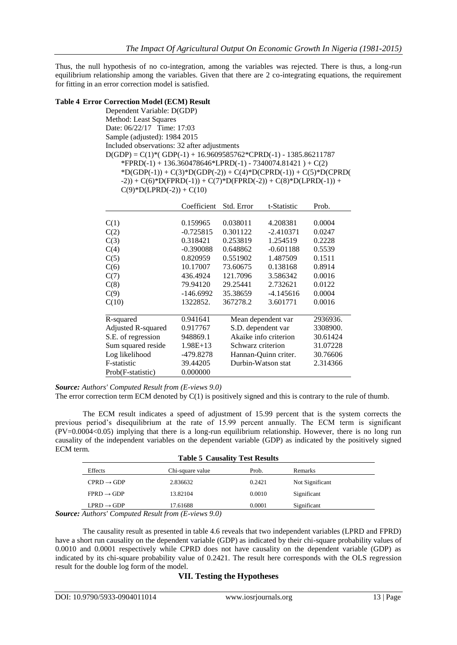Thus, the null hypothesis of no co-integration, among the variables was rejected. There is thus, a long-run equilibrium relationship among the variables. Given that there are 2 co-integrating equations, the requirement for fitting in an error correction model is satisfied.

#### **Table 4 Error Correction Model (ECM) Result**

Dependent Variable: D(GDP) Method: Least Squares Date: 06/22/17 Time: 17:03 Sample (adjusted): 1984 2015 Included observations: 32 after adjustments  $D(GDP) = C(1)*(GDP(-1) + 16.9609585762*CPRD(-1) - 1385.86211787$  $*FPRD(-1) + 136.360478646*LPRD(-1) - 7340074.81421 + C(2)$  \*D(GDP(-1)) + C(3)\*D(GDP(-2)) + C(4)\*D(CPRD(-1)) + C(5)\*D(CPRD(  $-2$ )) + C(6)\*D(FPRD(-1)) + C(7)\*D(FPRD(-2)) + C(8)\*D(LPRD(-1)) +  $C(9)$ \*D(LPRD(-2)) +  $C(10)$ 

|                    | Coefficient | Std. Error        | t-Statistic           | Prob.    |
|--------------------|-------------|-------------------|-----------------------|----------|
|                    |             |                   |                       |          |
| C(1)               | 0.159965    | 0.038011          | 4.208381              | 0.0004   |
| C(2)               | $-0.725815$ | 0.301122          | $-2.410371$           | 0.0247   |
| C(3)               | 0.318421    | 0.253819          | 1.254519              | 0.2228   |
| C(4)               | $-0.390088$ | 0.648862          | $-0.601188$           | 0.5539   |
| C(5)               | 0.820959    | 0.551902          | 1.487509              | 0.1511   |
| C(6)               | 10.17007    | 73.60675          | 0.138168              | 0.8914   |
| C(7)               | 436.4924    | 121.7096          | 3.586342              | 0.0016   |
| C(8)               | 79.94120    | 29.25441          | 2.732621              | 0.0122   |
| C(9)               | $-146.6992$ | 35.38659          | $-4.145616$           | 0.0004   |
| C(10)              | 1322852.    | 367278.2          | 3.601771              | 0.0016   |
|                    |             |                   |                       |          |
| R-squared          | 0.941641    |                   | Mean dependent var    | 2936936. |
| Adjusted R-squared | 0.917767    |                   | S.D. dependent var    | 3308900. |
| S.E. of regression | 948869.1    |                   | Akaike info criterion | 30.61424 |
| Sum squared reside | $1.98E+13$  | Schwarz criterion |                       | 31.07228 |
| Log likelihood     | -479.8278   |                   | Hannan-Quinn criter.  | 30.76606 |
| F-statistic        | 39.44205    |                   | Durbin-Watson stat    | 2.314366 |
| Prob(F-statistic)  | 0.000000    |                   |                       |          |

*Source: Authors' Computed Result from (E-views 9.0)*

The error correction term ECM denoted by C(1) is positively signed and this is contrary to the rule of thumb.

The ECM result indicates a speed of adjustment of 15.99 percent that is the system corrects the previous period's disequilibrium at the rate of 15.99 percent annually. The ECM term is significant (PV=0.0004<0.05) implying that there is a long-run equilibrium relationship. However, there is no long run causality of the independent variables on the dependent variable (GDP) as indicated by the positively signed ECM term.

| <b>Table 5 Causality Test Results</b> |                  |        |                 |  |
|---------------------------------------|------------------|--------|-----------------|--|
| Effects                               | Chi-square value | Prob.  | <b>Remarks</b>  |  |
| $CPRD \rightarrow GDP$                | 2.836632         | 0.2421 | Not Significant |  |
| $FPRD \rightarrow GDP$                | 13.82104         | 0.0010 | Significant     |  |
| $LPRD \rightarrow GDP$                | 17.61688         | 0.0001 | Significant     |  |

*Source: Authors' Computed Result from (E-views 9.0)*

The causality result as presented in table 4.6 reveals that two independent variables (LPRD and FPRD) have a short run causality on the dependent variable (GDP) as indicated by their chi-square probability values of 0.0010 and 0.0001 respectively while CPRD does not have causality on the dependent variable (GDP) as indicated by its chi-square probability value of 0.2421. The result here corresponds with the OLS regression result for the double log form of the model.

# **VII. Testing the Hypotheses**